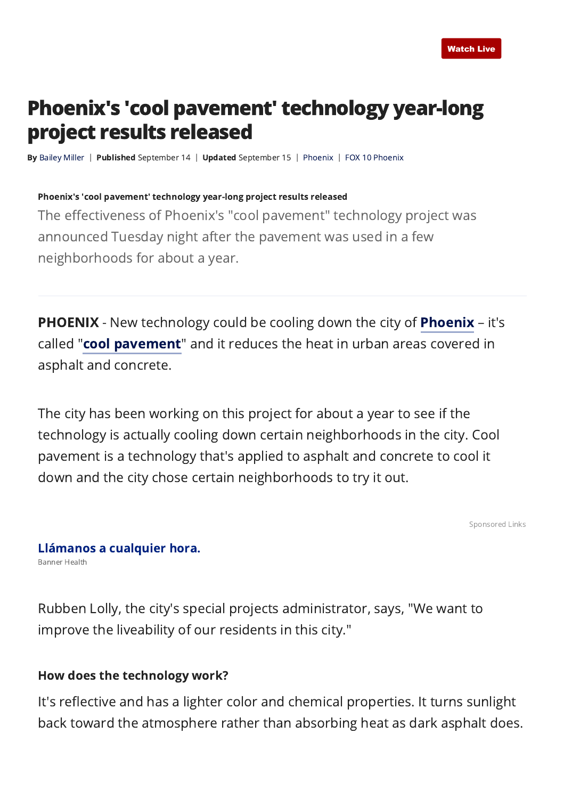# Phoenix's 'cool pavement' technology year-long project results released

By [Bailey Miller](https://www.fox10phoenix.com/person/m/bailey-miller) | Published September 14 | Updated September 15 | [Phoenix](https://www.fox10phoenix.com/tag/us/az/maricopa-county/phoenix) | [FOX 10 Phoenix](http://www.fox10phoenix.com/)

#### Phoenix's 'cool pavement' technology year-long project results released

The effectiveness of Phoenix's "cool pavement" technology project was announced Tuesday night after the pavement was used in a few neighborhoods for about a year.

PHOENIX - New technology could be cooling down the city of [Phoenix](https://www.fox10phoenix.com/local-news) - it's called ["cool pavement](https://www.phoenix.gov/streets/coolpavement)" and it reduces the heat in urban areas covered in asphalt and concrete.

The city has been working on this project for about a year to see if the technology is actually cooling down certain neighborhoods in the city. Cool pavement is a technology that's applied to asphalt and concrete to cool it down and the city chose certain neighborhoods to try it out.

[Sponsored Links](https://popup.taboola.com/en/?template=colorbox&utm_source=myfox-myfoxphoenix&utm_medium=referral&utm_content=thumbnails-m:Desktop%20-%20Mid%20Article%20-%20New:)

### Banner Health [Llámanos a cualquier hora.](https://www.bannerhealth.com/es/getcarenow/nurse-on-call?utm_campaign=a_bh_fallbrand_21&utm_source=a_taboola&utm_medium=a_native&utm_term=bh&utm_content=a_bh_phx.nocol_taboola_nursenow_spn_native_taboola_display&tblci=GiBW3Hnq-UjgtGLCVmA3b03zY094oFplJ6SLGl5nx_bsdiDtjUMopsmFlIKpw-P2AQ#tblciGiBW3Hnq-UjgtGLCVmA3b03zY094oFplJ6SLGl5nx_bsdiDtjUMopsmFlIKpw-P2AQ)

Rubben Lolly, the city's special projects administrator, says, "We want to improve the liveability of our residents in this city."

### How does the technology work?

It's reflective and has a lighter color and chemical properties. It turns sunlight back toward the atmosphere rather than absorbing heat as dark asphalt does.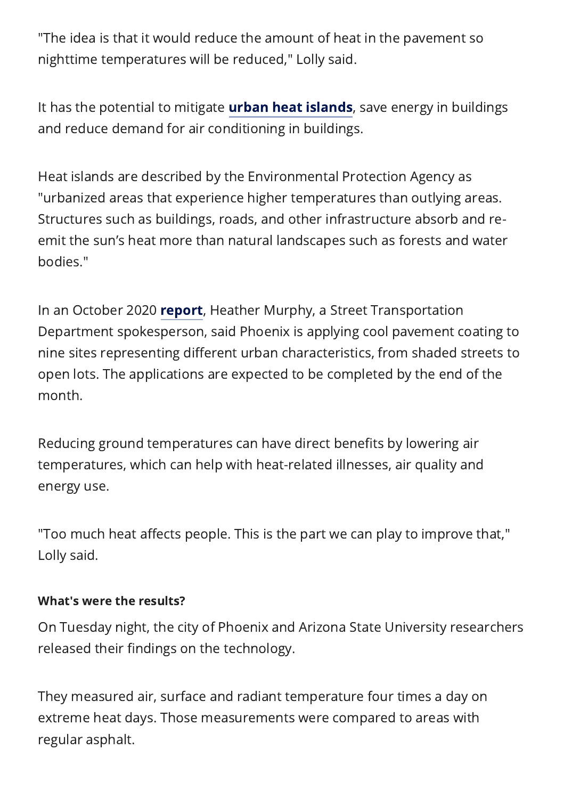"The idea is that it would reduce the amount of heat in the pavement so nighttime temperatures will be reduced," Lolly said.

It has the potential to mitigate **urban heat islands**, save energy in buildings and reduce demand for air conditioning in buildings.

Heat islands are described by the Environmental Protection Agency as "urbanized areas that experience higher temperatures than outlying areas. Structures such as buildings, roads, and other infrastructure absorb and reemit the sun's heat more than natural landscapes such as forests and water bodies."

In an October 2020 **[report](https://www.fox10phoenix.com/news/pavement-technology-could-cool-phoenix-from-the-ground-up)**, Heather Murphy, a Street Transportation Department spokesperson, said Phoenix is applying cool pavement coating to nine sites representing different urban characteristics, from shaded streets to open lots. The applications are expected to be completed by the end of the month.

Reducing ground temperatures can have direct benefits by lowering air temperatures, which can help with heat-related illnesses, air quality and energy use.

"Too much heat affects people. This is the part we can play to improve that," Lolly said.

# What's were the results?

On Tuesday night, the city of Phoenix and Arizona State University researchers released their findings on the technology.

They measured air, surface and radiant temperature four times a day on extreme heat days. Those measurements were compared to areas with regular asphalt.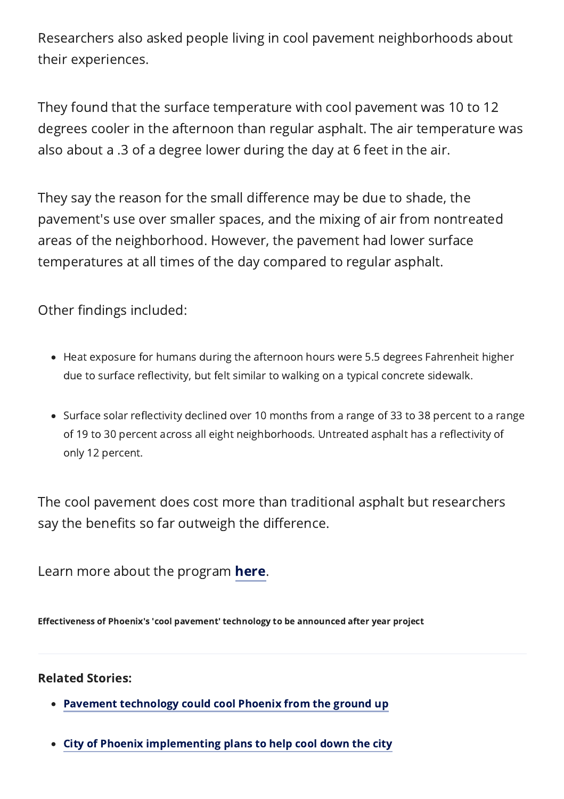Researchers also asked people living in cool pavement neighborhoods about their experiences.

They found that the surface temperature with cool pavement was 10 to 12 degrees cooler in the afternoon than regular asphalt. The air temperature was also about a .3 of a degree lower during the day at 6 feet in the air.

They say the reason for the small difference may be due to shade, the pavement's use over smaller spaces, and the mixing of air from nontreated areas of the neighborhood. However, the pavement had lower surface temperatures at all times of the day compared to regular asphalt.

Other findings included:

- Heat exposure for humans during the afternoon hours were 5.5 degrees Fahrenheit higher due to surface reflectivity, but felt similar to walking on a typical concrete sidewalk.
- Surface solar reflectivity declined over 10 months from a range of 33 to 38 percent to a range of 19 to 30 percent across all eight neighborhoods. Untreated asphalt has a reflectivity of only 12 percent.

The cool pavement does cost more than traditional asphalt but researchers say the benefits so far outweigh the difference.

Learn more about the program **here**.

Effectiveness of Phoenix's 'cool pavement' technology to be announced after year project

# Related Stories:

- [Pavement technology could cool Phoenix from the ground up](https://www.fox10phoenix.com/news/pavement-technology-could-cool-phoenix-from-the-ground-up)
- [City of Phoenix implementing plans to help cool down the city](https://www.fox10phoenix.com/news/city-of-phoenix-implementing-plans-to-help-cool-down-the-city)